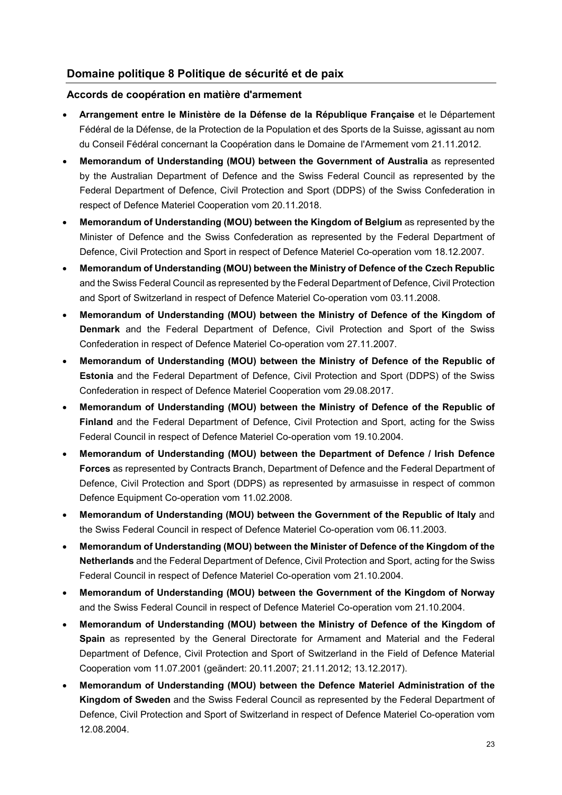## **Domaine politique 8 Politique de sécurité et de paix**

## **Accords de coopération en matière d'armement**

- **Arrangement entre le Ministère de la Défense de la République Française** et le Département Fédéral de la Défense, de la Protection de la Population et des Sports de la Suisse, agissant au nom du Conseil Fédéral concernant la Coopération dans le Domaine de l'Armement vom 21.11.2012.
- **Memorandum of Understanding (MOU) between the Government of Australia** as represented by the Australian Department of Defence and the Swiss Federal Council as represented by the Federal Department of Defence, Civil Protection and Sport (DDPS) of the Swiss Confederation in respect of Defence Materiel Cooperation vom 20.11.2018.
- **Memorandum of Understanding (MOU) between the Kingdom of Belgium** as represented by the Minister of Defence and the Swiss Confederation as represented by the Federal Department of Defence, Civil Protection and Sport in respect of Defence Materiel Co-operation vom 18.12.2007.
- **Memorandum of Understanding (MOU) between the Ministry of Defence of the Czech Republic** and the Swiss Federal Council as represented by the Federal Department of Defence, Civil Protection and Sport of Switzerland in respect of Defence Materiel Co-operation vom 03.11.2008.
- **Memorandum of Understanding (MOU) between the Ministry of Defence of the Kingdom of Denmark** and the Federal Department of Defence, Civil Protection and Sport of the Swiss Confederation in respect of Defence Materiel Co-operation vom 27.11.2007.
- **Memorandum of Understanding (MOU) between the Ministry of Defence of the Republic of Estonia** and the Federal Department of Defence, Civil Protection and Sport (DDPS) of the Swiss Confederation in respect of Defence Materiel Cooperation vom 29.08.2017.
- **Memorandum of Understanding (MOU) between the Ministry of Defence of the Republic of Finland** and the Federal Department of Defence, Civil Protection and Sport, acting for the Swiss Federal Council in respect of Defence Materiel Co-operation vom 19.10.2004.
- **Memorandum of Understanding (MOU) between the Department of Defence / Irish Defence Forces** as represented by Contracts Branch, Department of Defence and the Federal Department of Defence, Civil Protection and Sport (DDPS) as represented by armasuisse in respect of common Defence Equipment Co-operation vom 11.02.2008.
- **Memorandum of Understanding (MOU) between the Government of the Republic of Italy** and the Swiss Federal Council in respect of Defence Materiel Co-operation vom 06.11.2003.
- **Memorandum of Understanding (MOU) between the Minister of Defence of the Kingdom of the Netherlands** and the Federal Department of Defence, Civil Protection and Sport, acting for the Swiss Federal Council in respect of Defence Materiel Co-operation vom 21.10.2004.
- **Memorandum of Understanding (MOU) between the Government of the Kingdom of Norway** and the Swiss Federal Council in respect of Defence Materiel Co-operation vom 21.10.2004.
- **Memorandum of Understanding (MOU) between the Ministry of Defence of the Kingdom of Spain** as represented by the General Directorate for Armament and Material and the Federal Department of Defence, Civil Protection and Sport of Switzerland in the Field of Defence Material Cooperation vom 11.07.2001 (geändert: 20.11.2007; 21.11.2012; 13.12.2017).
- **Memorandum of Understanding (MOU) between the Defence Materiel Administration of the Kingdom of Sweden** and the Swiss Federal Council as represented by the Federal Department of Defence, Civil Protection and Sport of Switzerland in respect of Defence Materiel Co-operation vom 12.08.2004.